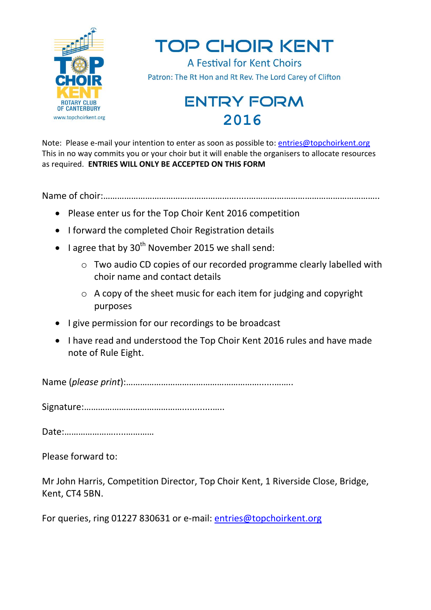

Note: Please e-mail your intention to enter as soon as possible to: [entries@topchoirkent.org](mailto:entries@topchoirkent.org) This in no way commits you or your choir but it will enable the organisers to allocate resources as required. **ENTRIES WILL ONLY BE ACCEPTED ON THIS FORM**

Name of choir:………………………………………………….....………………………………………………..

- Please enter us for the Top Choir Kent 2016 competition
- I forward the completed Choir Registration details
- $\bullet$  I agree that by 30<sup>th</sup> November 2015 we shall send:
	- o Two audio CD copies of our recorded programme clearly labelled with choir name and contact details
	- o A copy of the sheet music for each item for judging and copyright purposes
- I give permission for our recordings to be broadcast
- I have read and understood the Top Choir Kent 2016 rules and have made note of Rule Eight.

Name (*please print*):…………………………………………………......……..

Signature:……………………………………............…..

Date:………………….....…………

Please forward to:

Mr John Harris, Competition Director, Top Choir Kent, 1 Riverside Close, Bridge, Kent, CT4 5BN.

For queries, ring 01227 830631 or e-mail: [entries@topchoirkent.org](mailto:entries@topchoirkent.org)